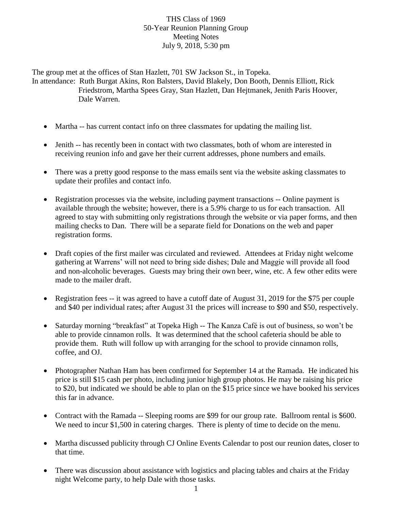## THS Class of 1969 50-Year Reunion Planning Group Meeting Notes July 9, 2018, 5:30 pm

The group met at the offices of Stan Hazlett, 701 SW Jackson St., in Topeka. In attendance: Ruth Burgat Akins, Ron Balsters, David Blakely, Don Booth, Dennis Elliott, Rick Friedstrom, Martha Spees Gray, Stan Hazlett, Dan Hejtmanek, Jenith Paris Hoover, Dale Warren.

- Martha -- has current contact info on three classmates for updating the mailing list.
- Jenith -- has recently been in contact with two classmates, both of whom are interested in receiving reunion info and gave her their current addresses, phone numbers and emails.
- There was a pretty good response to the mass emails sent via the website asking classmates to update their profiles and contact info.
- Registration processes via the website, including payment transactions -- Online payment is available through the website; however, there is a 5.9% charge to us for each transaction. All agreed to stay with submitting only registrations through the website or via paper forms, and then mailing checks to Dan. There will be a separate field for Donations on the web and paper registration forms.
- Draft copies of the first mailer was circulated and reviewed. Attendees at Friday night welcome gathering at Warrens' will not need to bring side dishes; Dale and Maggie will provide all food and non-alcoholic beverages. Guests may bring their own beer, wine, etc. A few other edits were made to the mailer draft.
- Registration fees -- it was agreed to have a cutoff date of August 31, 2019 for the \$75 per couple and \$40 per individual rates; after August 31 the prices will increase to \$90 and \$50, respectively.
- Saturday morning "breakfast" at Topeka High -- The Kanza Café is out of business, so won't be able to provide cinnamon rolls. It was determined that the school cafeteria should be able to provide them. Ruth will follow up with arranging for the school to provide cinnamon rolls, coffee, and OJ.
- Photographer Nathan Ham has been confirmed for September 14 at the Ramada. He indicated his price is still \$15 cash per photo, including junior high group photos. He may be raising his price to \$20, but indicated we should be able to plan on the \$15 price since we have booked his services this far in advance.
- Contract with the Ramada -- Sleeping rooms are \$99 for our group rate. Ballroom rental is \$600. We need to incur \$1,500 in catering charges. There is plenty of time to decide on the menu.
- Martha discussed publicity through CJ Online Events Calendar to post our reunion dates, closer to that time.
- There was discussion about assistance with logistics and placing tables and chairs at the Friday night Welcome party, to help Dale with those tasks.